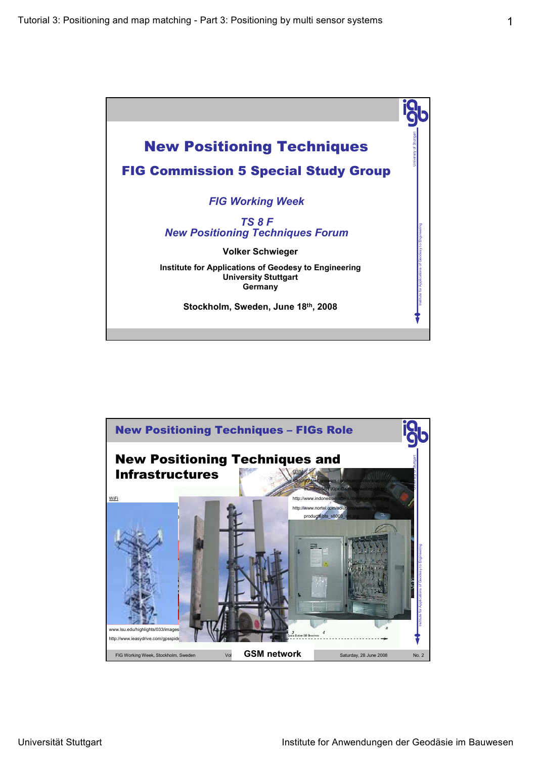

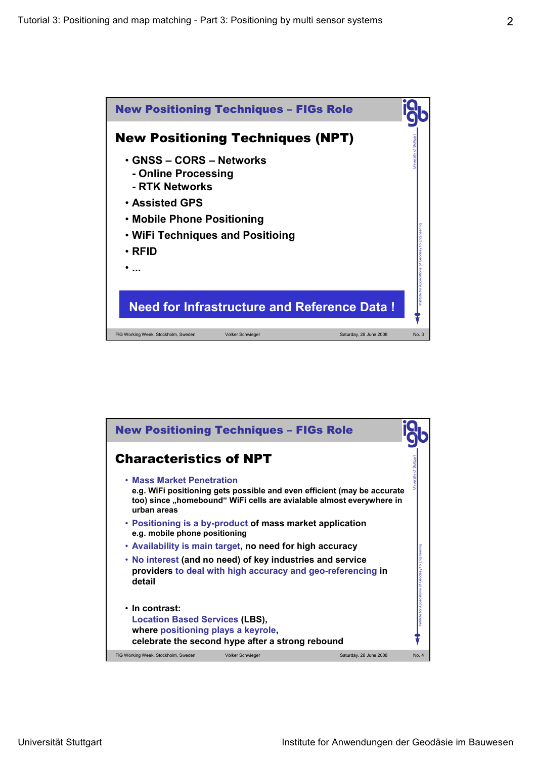

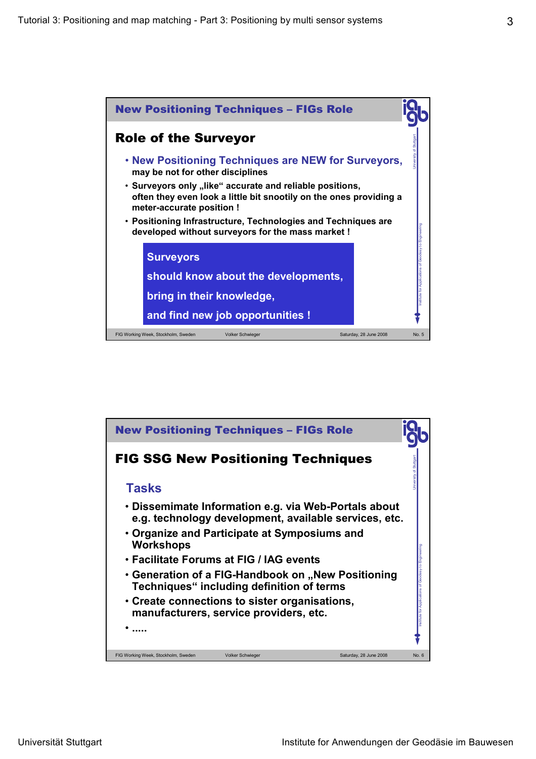

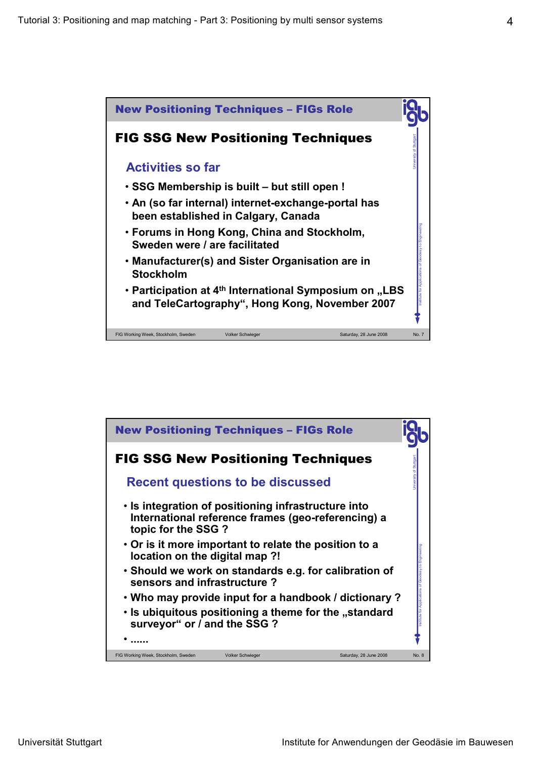